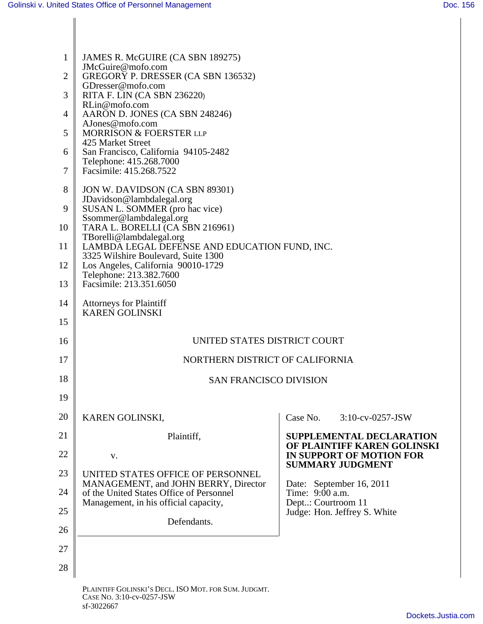| JAMES R. McGUIRE (CA SBN 189275)<br>JMcGuire@mofo.com<br>2 GREGORY P. DRESSER (CA SBN 136532)<br>GDresser@mofo.com<br>RITA F. LIN (CA SBN 236220)<br>RLin@mofo.com<br>4   AARON D. JONES (CA SBN 248246)<br>AJones@mofo.com<br>MORRISON & FOERSTER LLP<br>425 Market Street<br>6 San Francisco, California 94105-2482<br>Telephone: 415.268.7000<br>7   Facsimile: 415.268.7522<br>8 JON W. DAVIDSON (CA SBN 89301)<br>JDavidson@lambdalegal.org<br>9 SUSAN L. SOMMER (pro hac vice)<br>Ssommer@lambdalegal.org<br>10   TARA L. BORELLI (CA SBN 216961)<br>The Condition of the Condition of the Condition<br>11 LAMBDA LEGAL DEFENSE AND EDUCATION FUND, INC.<br>3325 Wilshire Boulevard, Suite 1300 |
|-------------------------------------------------------------------------------------------------------------------------------------------------------------------------------------------------------------------------------------------------------------------------------------------------------------------------------------------------------------------------------------------------------------------------------------------------------------------------------------------------------------------------------------------------------------------------------------------------------------------------------------------------------------------------------------------------------|
|                                                                                                                                                                                                                                                                                                                                                                                                                                                                                                                                                                                                                                                                                                       |
|                                                                                                                                                                                                                                                                                                                                                                                                                                                                                                                                                                                                                                                                                                       |
|                                                                                                                                                                                                                                                                                                                                                                                                                                                                                                                                                                                                                                                                                                       |
|                                                                                                                                                                                                                                                                                                                                                                                                                                                                                                                                                                                                                                                                                                       |
|                                                                                                                                                                                                                                                                                                                                                                                                                                                                                                                                                                                                                                                                                                       |
|                                                                                                                                                                                                                                                                                                                                                                                                                                                                                                                                                                                                                                                                                                       |
|                                                                                                                                                                                                                                                                                                                                                                                                                                                                                                                                                                                                                                                                                                       |
|                                                                                                                                                                                                                                                                                                                                                                                                                                                                                                                                                                                                                                                                                                       |
|                                                                                                                                                                                                                                                                                                                                                                                                                                                                                                                                                                                                                                                                                                       |
|                                                                                                                                                                                                                                                                                                                                                                                                                                                                                                                                                                                                                                                                                                       |
|                                                                                                                                                                                                                                                                                                                                                                                                                                                                                                                                                                                                                                                                                                       |
|                                                                                                                                                                                                                                                                                                                                                                                                                                                                                                                                                                                                                                                                                                       |
| 12   Los Angeles, California 90010-1729<br>Telephone: 213.382.7600                                                                                                                                                                                                                                                                                                                                                                                                                                                                                                                                                                                                                                    |
| 13   Facsimile: 213.351.6050                                                                                                                                                                                                                                                                                                                                                                                                                                                                                                                                                                                                                                                                          |
| 14   Attorneys for Plaintiff                                                                                                                                                                                                                                                                                                                                                                                                                                                                                                                                                                                                                                                                          |
| KAREN GOLINSKI<br>15                                                                                                                                                                                                                                                                                                                                                                                                                                                                                                                                                                                                                                                                                  |
| UNITED STATES DISTRICT COURT<br>16                                                                                                                                                                                                                                                                                                                                                                                                                                                                                                                                                                                                                                                                    |
| 17<br>NORTHERN DISTRICT OF CALIFORNIA                                                                                                                                                                                                                                                                                                                                                                                                                                                                                                                                                                                                                                                                 |
| 18<br>SAN FRANCISCO DIVISION                                                                                                                                                                                                                                                                                                                                                                                                                                                                                                                                                                                                                                                                          |
|                                                                                                                                                                                                                                                                                                                                                                                                                                                                                                                                                                                                                                                                                                       |
| 19                                                                                                                                                                                                                                                                                                                                                                                                                                                                                                                                                                                                                                                                                                    |
| 20   KAREN GOLINSKI,<br>Case No.<br>3:10-cv-0257-JSW                                                                                                                                                                                                                                                                                                                                                                                                                                                                                                                                                                                                                                                  |
| 21<br>Plaintiff,<br>SUPPLEMENTAL DECLARATION<br><b>OF PLAINTIFF KAREN GOLINSKI</b>                                                                                                                                                                                                                                                                                                                                                                                                                                                                                                                                                                                                                    |
| 22<br>IN SUPPORT OF MOTION FOR<br>V.<br><b>SUMMARY JUDGMENT</b>                                                                                                                                                                                                                                                                                                                                                                                                                                                                                                                                                                                                                                       |
| 23   UNITED STATES OFFICE OF PERSONNEL                                                                                                                                                                                                                                                                                                                                                                                                                                                                                                                                                                                                                                                                |
| Date: September 16, 2011<br>Time: 9:00 a.m.<br>MANAGEMENT, and JOHN BERRY, Director<br>24   of the United States Office of Personnel                                                                                                                                                                                                                                                                                                                                                                                                                                                                                                                                                                  |
| Management, in his official capacity,<br>Dept: Courtroom 11<br>25<br>Judge: Hon. Jeffrey S. White                                                                                                                                                                                                                                                                                                                                                                                                                                                                                                                                                                                                     |
| Defendants.<br>26                                                                                                                                                                                                                                                                                                                                                                                                                                                                                                                                                                                                                                                                                     |
|                                                                                                                                                                                                                                                                                                                                                                                                                                                                                                                                                                                                                                                                                                       |
| 27                                                                                                                                                                                                                                                                                                                                                                                                                                                                                                                                                                                                                                                                                                    |
| 28                                                                                                                                                                                                                                                                                                                                                                                                                                                                                                                                                                                                                                                                                                    |

PLAINTIFF GOLINSKI'S DECL. ISO MOT. FOR SUM. JUDGMT. CASE NO. 3:10-cv-0257-JSW sf-3022667